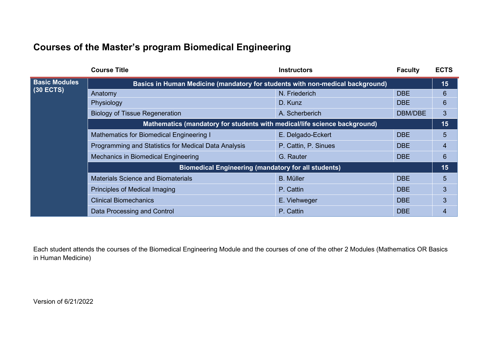## **Courses of the Master's program Biomedical Engineering**

|                      | <b>Course Title</b>                                                           | <b>Instructors</b>   | <b>Faculty</b> | <b>ECTS</b> |
|----------------------|-------------------------------------------------------------------------------|----------------------|----------------|-------------|
| <b>Basic Modules</b> | Basics in Human Medicine (mandatory for students with non-medical background) |                      |                | 15          |
| $(30$ ECTS)          | Anatomy                                                                       | N. Friederich        | <b>DBE</b>     | 6           |
|                      | Physiology                                                                    | D. Kunz              | <b>DBE</b>     | 6           |
|                      | <b>Biology of Tissue Regeneration</b>                                         | A. Scherberich       | DBM/DBE        | 3           |
|                      | Mathematics (mandatory for students with medical/life science background)     |                      |                | 15          |
|                      | Mathematics for Biomedical Engineering I                                      | E. Delgado-Eckert    | <b>DBE</b>     | 5           |
|                      | Programming and Statistics for Medical Data Analysis                          | P. Cattin, P. Sinues | <b>DBE</b>     | 4           |
|                      | <b>Mechanics in Biomedical Engineering</b>                                    | G. Rauter            | <b>DBE</b>     | 6           |
|                      | <b>Biomedical Engineering (mandatory for all students)</b>                    |                      |                | 15          |
|                      | <b>Materials Science and Biomaterials</b>                                     | <b>B.</b> Müller     | <b>DBE</b>     | 5           |
|                      | Principles of Medical Imaging                                                 | P. Cattin            | <b>DBE</b>     | 3           |
|                      | <b>Clinical Biomechanics</b>                                                  | E. Viehweger         | <b>DBE</b>     | 3           |
|                      | Data Processing and Control                                                   | P. Cattin            | <b>DBE</b>     | 4           |

Each student attends the courses of the Biomedical Engineering Module and the courses of one of the other 2 Modules (Mathematics OR Basics in Human Medicine)

Version of 6/21/2022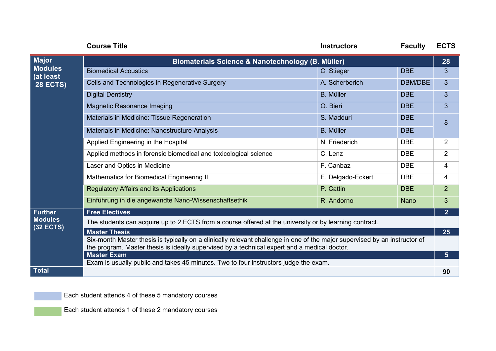|                                                                | <b>Course Title</b>                                                                                                        | <b>Instructors</b> | <b>Faculty</b> | <b>ECTS</b>                                                                                                        |  |
|----------------------------------------------------------------|----------------------------------------------------------------------------------------------------------------------------|--------------------|----------------|--------------------------------------------------------------------------------------------------------------------|--|
| <b>Major</b><br><b>Modules</b><br>(at least<br><b>28 ECTS)</b> | <b>Biomaterials Science &amp; Nanotechnology (B. Müller)</b>                                                               |                    |                |                                                                                                                    |  |
|                                                                | <b>Biomedical Acoustics</b>                                                                                                | C. Stieger         | <b>DBE</b>     | 28<br>3<br>3<br>3<br>3<br>8<br>$\overline{2}$<br>$\overline{2}$<br>4<br>4<br>$\overline{2}$<br>3<br>2 <sup>1</sup> |  |
|                                                                | Cells and Technologies in Regenerative Surgery                                                                             | A. Scherberich     | DBM/DBE        |                                                                                                                    |  |
|                                                                | <b>Digital Dentistry</b>                                                                                                   | <b>B.</b> Müller   | <b>DBE</b>     |                                                                                                                    |  |
|                                                                | <b>Magnetic Resonance Imaging</b>                                                                                          | O. Bieri           | <b>DBE</b>     |                                                                                                                    |  |
|                                                                | Materials in Medicine: Tissue Regeneration                                                                                 | S. Madduri         | <b>DBE</b>     |                                                                                                                    |  |
|                                                                | Materials in Medicine: Nanostructure Analysis                                                                              | <b>B.</b> Müller   | <b>DBE</b>     |                                                                                                                    |  |
|                                                                | Applied Engineering in the Hospital                                                                                        | N. Friederich      | <b>DBE</b>     |                                                                                                                    |  |
|                                                                | Applied methods in forensic biomedical and toxicological science                                                           | C. Lenz            | <b>DBE</b>     |                                                                                                                    |  |
|                                                                | Laser and Optics in Medicine                                                                                               | F. Canbaz          | <b>DBE</b>     |                                                                                                                    |  |
|                                                                | Mathematics for Biomedical Engineering II                                                                                  | E. Delgado-Eckert  | <b>DBE</b>     |                                                                                                                    |  |
|                                                                | <b>Regulatory Affairs and its Applications</b>                                                                             | P. Cattin          | <b>DBE</b>     |                                                                                                                    |  |
|                                                                | Einführung in die angewandte Nano-Wissenschaftsethik                                                                       | R. Andorno         | <b>Nano</b>    |                                                                                                                    |  |
| <b>Further</b><br><b>Modules</b><br><b>(32 ECTS)</b>           | <b>Free Electives</b>                                                                                                      |                    |                |                                                                                                                    |  |
|                                                                | The students can acquire up to 2 ECTS from a course offered at the university or by learning contract.                     |                    |                |                                                                                                                    |  |
|                                                                | <b>Master Thesis</b>                                                                                                       |                    |                |                                                                                                                    |  |
|                                                                | Six-month Master thesis is typically on a clinically relevant challenge in one of the major supervised by an instructor of |                    |                |                                                                                                                    |  |
|                                                                | the program. Master thesis is ideally supervised by a technical expert and a medical doctor.<br><b>Master Exam</b>         |                    |                |                                                                                                                    |  |
|                                                                | Exam is usually public and takes 45 minutes. Two to four instructors judge the exam.                                       |                    |                | 5 <sup>5</sup>                                                                                                     |  |
| <b>Total</b>                                                   |                                                                                                                            |                    |                | 90                                                                                                                 |  |

Each student attends 4 of these 5 mandatory courses

Each student attends 1 of these 2 mandatory courses